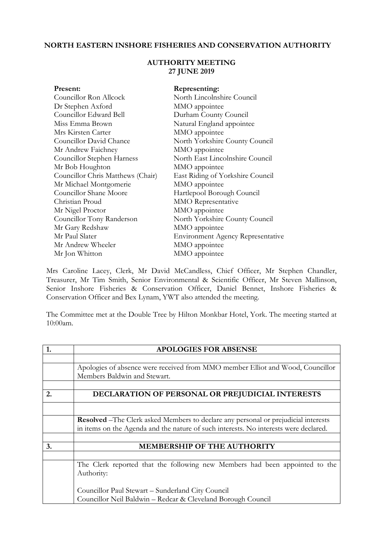## **NORTH EASTERN INSHORE FISHERIES AND CONSERVATION AUTHORITY**

## **AUTHORITY MEETING 27 JUNE 2019**

| Present:                          | Representing:                            |
|-----------------------------------|------------------------------------------|
| Councillor Ron Allcock            | North Lincolnshire Council               |
| Dr Stephen Axford                 | MMO appointee                            |
| Councillor Edward Bell            | Durham County Council                    |
| Miss Emma Brown                   | Natural England appointee                |
| Mrs Kirsten Carter                | MMO appointee                            |
| Councillor David Chance           | North Yorkshire County Council           |
| Mr Andrew Faichney                | MMO appointee                            |
| Councillor Stephen Harness        | North East Lincolnshire Council          |
| Mr Bob Houghton                   | MMO appointee                            |
| Councillor Chris Matthews (Chair) | East Riding of Yorkshire Council         |
| Mr Michael Montgomerie            | MMO appointee                            |
| Councillor Shane Moore            | Hartlepool Borough Council               |
| Christian Proud                   | <b>MMO</b> Representative                |
| Mr Nigel Proctor                  | MMO appointee                            |
| Councillor Tony Randerson         | North Yorkshire County Council           |
| Mr Gary Redshaw                   | MMO appointee                            |
| Mr Paul Slater                    | <b>Environment Agency Representative</b> |
| Mr Andrew Wheeler                 | MMO appointee                            |
| Mr Jon Whitton                    | MMO appointee                            |

Mrs Caroline Lacey, Clerk, Mr David McCandless, Chief Officer, Mr Stephen Chandler, Treasurer, Mr Tim Smith, Senior Environmental & Scientific Officer, Mr Steven Mallinson, Senior Inshore Fisheries & Conservation Officer, Daniel Bennet, Inshore Fisheries & Conservation Officer and Bex Lynam, YWT also attended the meeting.

The Committee met at the Double Tree by Hilton Monkbar Hotel, York. The meeting started at 10:00am.

| 1. | <b>APOLOGIES FOR ABSENSE</b>                                                               |
|----|--------------------------------------------------------------------------------------------|
|    |                                                                                            |
|    | Apologies of absence were received from MMO member Elliot and Wood, Councillor             |
|    | Members Baldwin and Stewart.                                                               |
|    |                                                                                            |
| 2. | DECLARATION OF PERSONAL OR PREJUDICIAL INTERESTS                                           |
|    |                                                                                            |
|    | <b>Resolved</b> – The Clerk asked Members to declare any personal or prejudicial interests |
|    | in items on the Agenda and the nature of such interests. No interests were declared.       |
|    |                                                                                            |
| 3. | MEMBERSHIP OF THE AUTHORITY                                                                |
|    |                                                                                            |
|    | The Clerk reported that the following new Members had been appointed to the                |
|    | Authority:                                                                                 |
|    |                                                                                            |
|    | Councillor Paul Stewart - Sunderland City Council                                          |
|    | Councillor Neil Baldwin - Redcar & Cleveland Borough Council                               |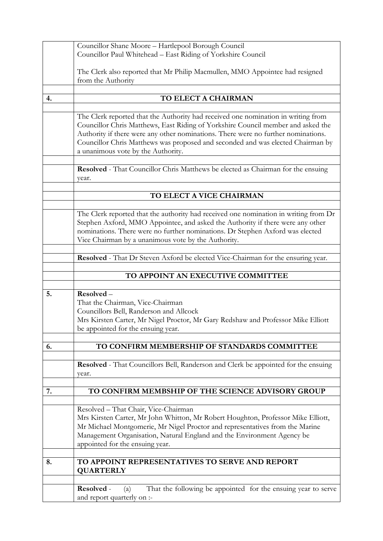|    | Councillor Shane Moore - Hartlepool Borough Council                                                                                                                                                                                                                                                                                                                                 |  |
|----|-------------------------------------------------------------------------------------------------------------------------------------------------------------------------------------------------------------------------------------------------------------------------------------------------------------------------------------------------------------------------------------|--|
|    | Councillor Paul Whitehead - East Riding of Yorkshire Council                                                                                                                                                                                                                                                                                                                        |  |
|    | The Clerk also reported that Mr Philip Macmullen, MMO Appointee had resigned                                                                                                                                                                                                                                                                                                        |  |
|    | from the Authority                                                                                                                                                                                                                                                                                                                                                                  |  |
| 4. | TO ELECT A CHAIRMAN                                                                                                                                                                                                                                                                                                                                                                 |  |
|    |                                                                                                                                                                                                                                                                                                                                                                                     |  |
|    | The Clerk reported that the Authority had received one nomination in writing from<br>Councillor Chris Matthews, East Riding of Yorkshire Council member and asked the<br>Authority if there were any other nominations. There were no further nominations.<br>Councillor Chris Matthews was proposed and seconded and was elected Chairman by<br>a unanimous vote by the Authority. |  |
|    | Resolved - That Councillor Chris Matthews be elected as Chairman for the ensuing<br>year.                                                                                                                                                                                                                                                                                           |  |
|    | TO ELECT A VICE CHAIRMAN                                                                                                                                                                                                                                                                                                                                                            |  |
|    |                                                                                                                                                                                                                                                                                                                                                                                     |  |
|    | The Clerk reported that the authority had received one nomination in writing from Dr<br>Stephen Axford, MMO Appointee, and asked the Authority if there were any other<br>nominations. There were no further nominations. Dr Stephen Axford was elected<br>Vice Chairman by a unanimous vote by the Authority.                                                                      |  |
|    | Resolved - That Dr Steven Axford be elected Vice-Chairman for the ensuring year.                                                                                                                                                                                                                                                                                                    |  |
|    |                                                                                                                                                                                                                                                                                                                                                                                     |  |
|    |                                                                                                                                                                                                                                                                                                                                                                                     |  |
|    | TO APPOINT AN EXECUTIVE COMMITTEE                                                                                                                                                                                                                                                                                                                                                   |  |
|    |                                                                                                                                                                                                                                                                                                                                                                                     |  |
| 5. | Resolved-<br>That the Chairman, Vice-Chairman<br>Councillors Bell, Randerson and Allcock<br>Mrs Kirsten Carter, Mr Nigel Proctor, Mr Gary Redshaw and Professor Mike Elliott<br>be appointed for the ensuing year.                                                                                                                                                                  |  |
| 6. | TO CONFIRM MEMBERSHIP OF STANDARDS COMMITTEE                                                                                                                                                                                                                                                                                                                                        |  |
|    | Resolved - That Councillors Bell, Randerson and Clerk be appointed for the ensuing<br>year.                                                                                                                                                                                                                                                                                         |  |
| 7. | TO CONFIRM MEMBSHIP OF THE SCIENCE ADVISORY GROUP                                                                                                                                                                                                                                                                                                                                   |  |
|    | Resolved - That Chair, Vice-Chairman<br>Mrs Kirsten Carter, Mr John Whitton, Mr Robert Houghton, Professor Mike Elliott,<br>Mr Michael Montgomerie, Mr Nigel Proctor and representatives from the Marine<br>Management Organisation, Natural England and the Environment Agency be<br>appointed for the ensuing year.                                                               |  |
| 8. | TO APPOINT REPRESENTATIVES TO SERVE AND REPORT<br><b>QUARTERLY</b>                                                                                                                                                                                                                                                                                                                  |  |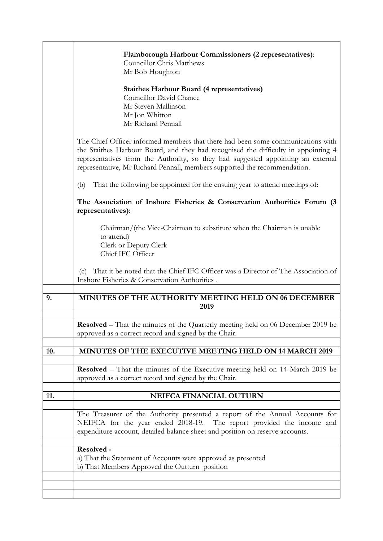|     | Flamborough Harbour Commissioners (2 representatives):<br><b>Councillor Chris Matthews</b><br>Mr Bob Houghton<br><b>Staithes Harbour Board (4 representatives)</b><br>Councillor David Chance<br>Mr Steven Mallinson<br>Mr Jon Whitton<br>Mr Richard Pennall                                                                           |
|-----|----------------------------------------------------------------------------------------------------------------------------------------------------------------------------------------------------------------------------------------------------------------------------------------------------------------------------------------|
|     | The Chief Officer informed members that there had been some communications with<br>the Staithes Harbour Board, and they had recognised the difficulty in appointing 4<br>representatives from the Authority, so they had suggested appointing an external<br>representative, Mr Richard Pennall, members supported the recommendation. |
|     | That the following be appointed for the ensuing year to attend meetings of:<br>(b)                                                                                                                                                                                                                                                     |
|     | The Association of Inshore Fisheries & Conservation Authorities Forum (3<br>representatives):                                                                                                                                                                                                                                          |
|     | Chairman/(the Vice-Chairman to substitute when the Chairman is unable<br>to attend)<br>Clerk or Deputy Clerk<br>Chief IFC Officer                                                                                                                                                                                                      |
|     | That it be noted that the Chief IFC Officer was a Director of The Association of<br>(c)<br>Inshore Fisheries & Conservation Authorities.                                                                                                                                                                                               |
| 9.  | MINUTES OF THE AUTHORITY MEETING HELD ON 06 DECEMBER<br>2019                                                                                                                                                                                                                                                                           |
|     | <b>Resolved</b> – That the minutes of the Quarterly meeting held on 06 December 2019 be<br>approved as a correct record and signed by the Chair.                                                                                                                                                                                       |
| 10. | <b>MINUTES OF THE EXECUTIVE MEETING HELD ON 14 MARCH 2019</b>                                                                                                                                                                                                                                                                          |
|     | <b>Resolved</b> – That the minutes of the Executive meeting held on 14 March 2019 be<br>approved as a correct record and signed by the Chair.                                                                                                                                                                                          |
| 11. | <b>NEIFCA FINANCIAL OUTURN</b>                                                                                                                                                                                                                                                                                                         |
|     | The Treasurer of the Authority presented a report of the Annual Accounts for<br>NEIFCA for the year ended 2018-19. The report provided the income and<br>expenditure account, detailed balance sheet and position on reserve accounts.                                                                                                 |
|     | Resolved -<br>a) That the Statement of Accounts were approved as presented<br>b) That Members Approved the Outturn position                                                                                                                                                                                                            |
|     |                                                                                                                                                                                                                                                                                                                                        |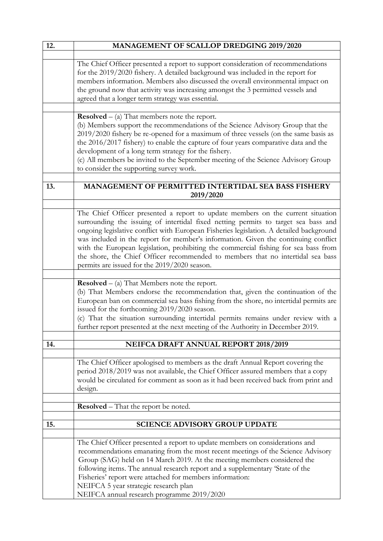| 12. | MANAGEMENT OF SCALLOP DREDGING 2019/2020                                                                                                                                                                                                                                                                                                                                                                                                                                                                                                                                         |
|-----|----------------------------------------------------------------------------------------------------------------------------------------------------------------------------------------------------------------------------------------------------------------------------------------------------------------------------------------------------------------------------------------------------------------------------------------------------------------------------------------------------------------------------------------------------------------------------------|
|     |                                                                                                                                                                                                                                                                                                                                                                                                                                                                                                                                                                                  |
|     | The Chief Officer presented a report to support consideration of recommendations<br>for the 2019/2020 fishery. A detailed background was included in the report for<br>members information. Members also discussed the overall environmental impact on<br>the ground now that activity was increasing amongst the 3 permitted vessels and<br>agreed that a longer term strategy was essential.                                                                                                                                                                                   |
|     | <b>Resolved</b> $-$ (a) That members note the report.                                                                                                                                                                                                                                                                                                                                                                                                                                                                                                                            |
|     | (b) Members support the recommendations of the Science Advisory Group that the<br>2019/2020 fishery be re-opened for a maximum of three vessels (on the same basis as<br>the 2016/2017 fishery) to enable the capture of four years comparative data and the<br>development of a long term strategy for the fishery.<br>(c) All members be invited to the September meeting of the Science Advisory Group<br>to consider the supporting survey work.                                                                                                                             |
| 13. | MANAGEMENT OF PERMITTED INTERTIDAL SEA BASS FISHERY<br>2019/2020                                                                                                                                                                                                                                                                                                                                                                                                                                                                                                                 |
|     |                                                                                                                                                                                                                                                                                                                                                                                                                                                                                                                                                                                  |
|     | The Chief Officer presented a report to update members on the current situation<br>surrounding the issuing of intertidal fixed netting permits to target sea bass and<br>ongoing legislative conflict with European Fisheries legislation. A detailed background<br>was included in the report for member's information. Given the continuing conflict<br>with the European legislation, prohibiting the commercial fishing for sea bass from<br>the shore, the Chief Officer recommended to members that no intertidal sea bass<br>permits are issued for the 2019/2020 season. |
|     | <b>Resolved</b> $-$ (a) That Members note the report.                                                                                                                                                                                                                                                                                                                                                                                                                                                                                                                            |
|     | (b) That Members endorse the recommendation that, given the continuation of the<br>European ban on commercial sea bass fishing from the shore, no intertidal permits are<br>issued for the forthcoming 2019/2020 season.<br>(c) That the situation surrounding intertidal permits remains under review with a<br>further report presented at the next meeting of the Authority in December 2019.                                                                                                                                                                                 |
| 14. | <b>NEIFCA DRAFT ANNUAL REPORT 2018/2019</b>                                                                                                                                                                                                                                                                                                                                                                                                                                                                                                                                      |
|     |                                                                                                                                                                                                                                                                                                                                                                                                                                                                                                                                                                                  |
|     | The Chief Officer apologised to members as the draft Annual Report covering the<br>period 2018/2019 was not available, the Chief Officer assured members that a copy<br>would be circulated for comment as soon as it had been received back from print and<br>design.                                                                                                                                                                                                                                                                                                           |
|     | <b>Resolved</b> – That the report be noted.                                                                                                                                                                                                                                                                                                                                                                                                                                                                                                                                      |
|     |                                                                                                                                                                                                                                                                                                                                                                                                                                                                                                                                                                                  |
| 15. | <b>SCIENCE ADVISORY GROUP UPDATE</b>                                                                                                                                                                                                                                                                                                                                                                                                                                                                                                                                             |
|     | The Chief Officer presented a report to update members on considerations and<br>recommendations emanating from the most recent meetings of the Science Advisory<br>Group (SAG) held on 14 March 2019. At the meeting members considered the<br>following items. The annual research report and a supplementary 'State of the<br>Fisheries' report were attached for members information:<br>NEIFCA 5 year strategic research plan<br>NEIFCA annual research programme 2019/2020                                                                                                  |